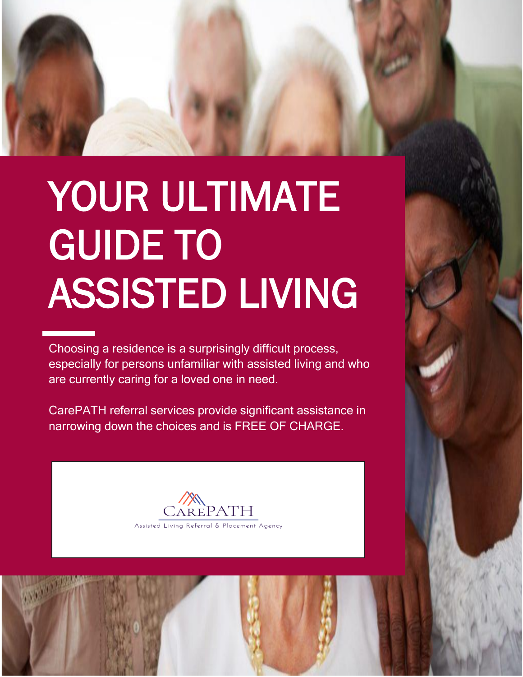

# YOUR ULTIMATE GUIDE TO ASSISTED LIVING

Choosing a residence is a surprisingly difficult process, especially for persons unfamiliar with assisted living and who are currently caring for a loved one in need.

CarePATH referral services provide significant assistance in narrowing down the choices and is FREE OF CHARGE.



1



 $\overline{\mathbb{I}}$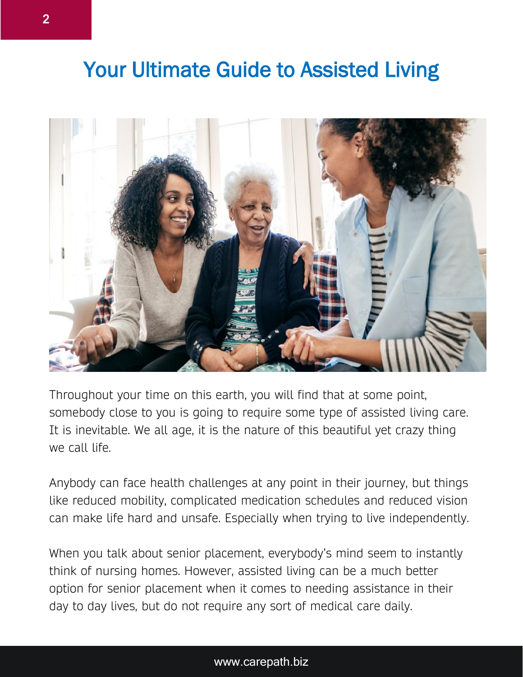## Your Ultimate Guide to Assisted Living



Throughout your time on this earth, you will find that at some point, somebody close to you is going to require some type of assisted living care. It is inevitable. We all age, it is the nature of this beautiful yet crazy thing we call life.

Anybody can face health challenges at any point in their journey, but things like reduced mobility, complicated medication schedules and reduced vision can make life hard and unsafe. Especially when trying to live independently.

When you talk about senior placement, everybody's mind seem to instantly think of nursing homes. However, assisted living can be a much better option for senior placement when it comes to needing assistance in their day to day lives, but do not require any sort of medical care daily.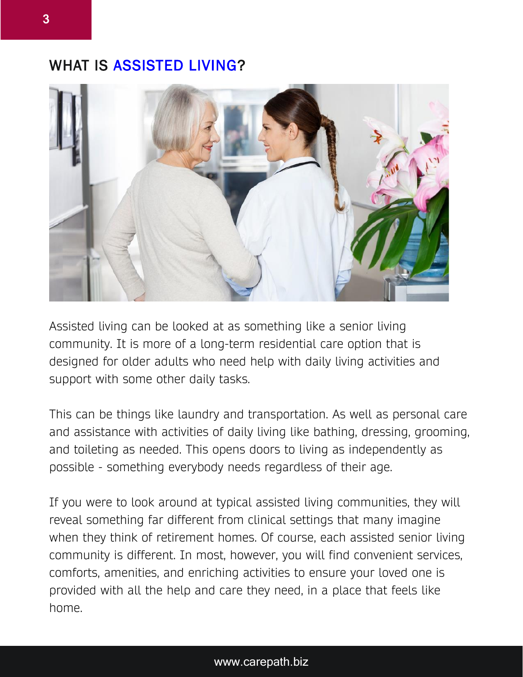## WHAT IS ASSISTED LIVING?



Assisted living can be looked at as something like a senior living community. It is more of a long-term residential care option that is designed for older adults who need help with daily living activities and support with some other daily tasks.

This can be things like laundry and transportation. As well as personal care and assistance with activities of daily living like bathing, dressing, grooming, and toileting as needed. This opens doors to living as independently as possible - something everybody needs regardless of their age.

If you were to look around at typical assisted living communities, they will reveal something far different from clinical settings that many imagine when they think of retirement homes. Of course, each assisted senior living community is different. In most, however, you will find convenient services, comforts, amenities, and enriching activities to ensure your loved one is provided with all the help and care they need, in a place that feels like home.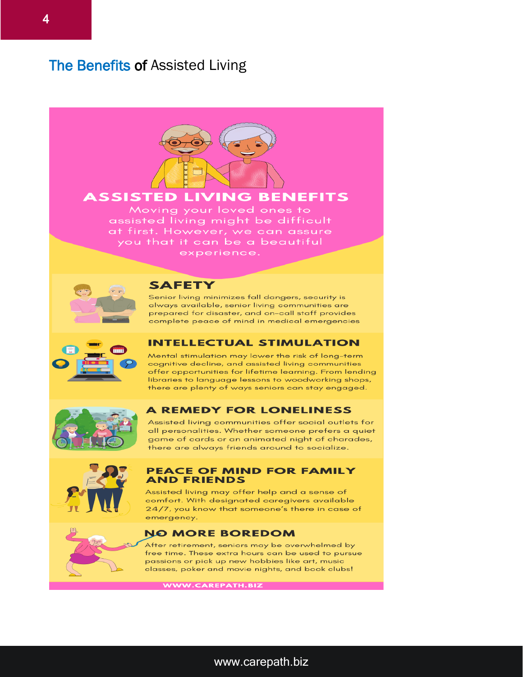## The Benefits of Assisted Living



### **ASSISTED LIVING BENEFITS**

Moving your loved ones to assisted living might be difficult at first. However, we can assure you that it can be a beautiful experience.



#### **SAFETY**

Senior living minimizes fall dangers, security is always available, senior living communities are prepared for disaster, and on-call staff provides complete peace of mind in medical emergencies



#### **INTELLECTUAL STIMULATION**

Mental stimulation may lower the risk of long-term cognitive decline, and assisted living communities offer opportunities for lifetime learning. From lending libraries to language lessons to woodworking shops, there are plenty of ways seniors can stay engaged.



#### **A REMEDY FOR LONELINESS**

Assisted living communities offer social outlets for all personalities. Whether someone prefers a quiet game of cards or an animated night of charades, there are always friends around to socialize.



#### **PEACE OF MIND FOR FAMILY AND FRIENDS**

Assisted living may offer help and a sense of comfort. With designated caregivers available 24/7, you know that someone's there in case of emergency.

#### **NO MORE BOREDOM**

After retirement, seniors may be overwhelmed by free time. These extra hours can be used to pursue passions or pick up new hobbies like art, music classes, poker and movie nights, and book clubs!

WWW.CAREPATH.BIZ

4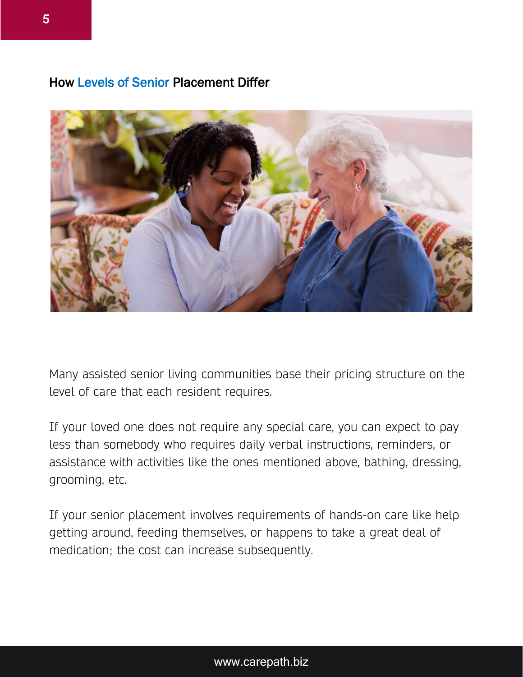## How Levels of Senior Placement Differ



Many assisted senior living communities base their pricing structure on the level of care that each resident requires.

If your loved one does not require any special care, you can expect to pay less than somebody who requires daily verbal instructions, reminders, or assistance with activities like the ones mentioned above, bathing, dressing, grooming, etc.

If your senior placement involves requirements of hands-on care like help getting around, feeding themselves, or happens to take a great deal of medication; the cost can increase subsequently.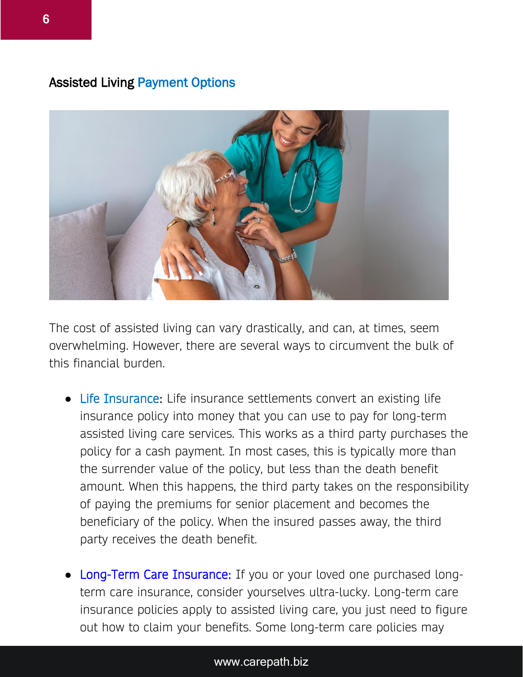## Assisted Living Payment Options



The cost of assisted living can vary drastically, and can, at times, seem overwhelming. However, there are several ways to circumvent the bulk of this financial burden.

- Life Insurance: Life insurance settlements convert an existing life insurance policy into money that you can use to pay for long-term assisted living care services. This works as a third party purchases the policy for a cash payment. In most cases, this is typically more than the surrender value of the policy, but less than the death benefit amount. When this happens, the third party takes on the responsibility of paying the premiums for senior placement and becomes the beneficiary of the policy. When the insured passes away, the third party receives the death benefit.
- **Long-Term Care Insurance:** If you or your loved one purchased longterm care insurance, consider yourselves ultra-lucky. Long-term care insurance policies apply to assisted living care, you just need to figure out how to claim your benefits. Some long-term care policies may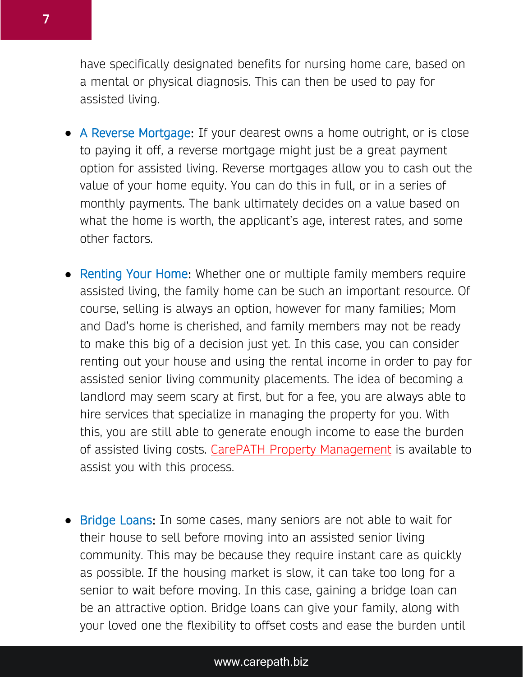have specifically designated benefits for nursing home care, based on a mental or physical diagnosis. This can then be used to pay for assisted living.

- A Reverse Mortgage: If your dearest owns a home outright, or is close to paying it off, a reverse mortgage might just be a great payment option for assisted living. Reverse mortgages allow you to cash out the value of your home equity. You can do this in full, or in a series of monthly payments. The bank ultimately decides on a value based on what the home is worth, the applicant's age, interest rates, and some other factors.
- Renting Your Home: Whether one or multiple family members require assisted living, the family home can be such an important resource. Of course, selling is always an option, however for many families; Mom and Dad's home is cherished, and family members may not be ready to make this big of a decision just yet. In this case, you can consider renting out your house and using the rental income in order to pay for assisted senior living community placements. The idea of becoming a landlord may seem scary at first, but for a fee, you are always able to hire services that specialize in managing the property for you. With this, you are still able to generate enough income to ease the burden of assisted living costs. [CarePATH Property Management](https://www.carepath.biz/manage-my-property) is available to assist you with this process.
- Bridge Loans: In some cases, many seniors are not able to wait for their house to sell before moving into an assisted senior living community. This may be because they require instant care as quickly as possible. If the housing market is slow, it can take too long for a senior to wait before moving. In this case, gaining a bridge loan can be an attractive option. Bridge loans can give your family, along with your loved one the flexibility to offset costs and ease the burden until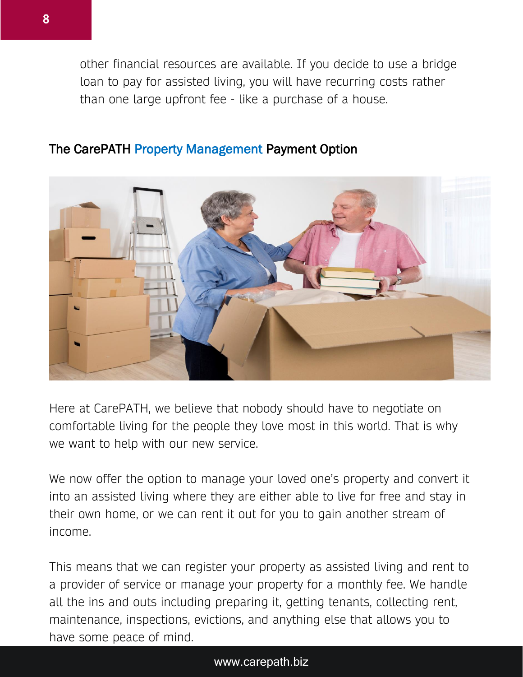other financial resources are available. If you decide to use a bridge loan to pay for assisted living, you will have recurring costs rather than one large upfront fee - like a purchase of a house.



## The CarePATH Property Management Payment Option

Here at CarePATH, we believe that nobody should have to negotiate on comfortable living for the people they love most in this world. That is why we want to help with our new service.

We now offer the option to manage your loved one's property and convert it into an assisted living where they are either able to live for free and stay in their own home, or we can rent it out for you to gain another stream of income.

This means that we can register your property as assisted living and rent to a provider of service or manage your property for a monthly fee. We handle all the ins and outs including preparing it, getting tenants, collecting rent, maintenance, inspections, evictions, and anything else that allows you to have some peace of mind.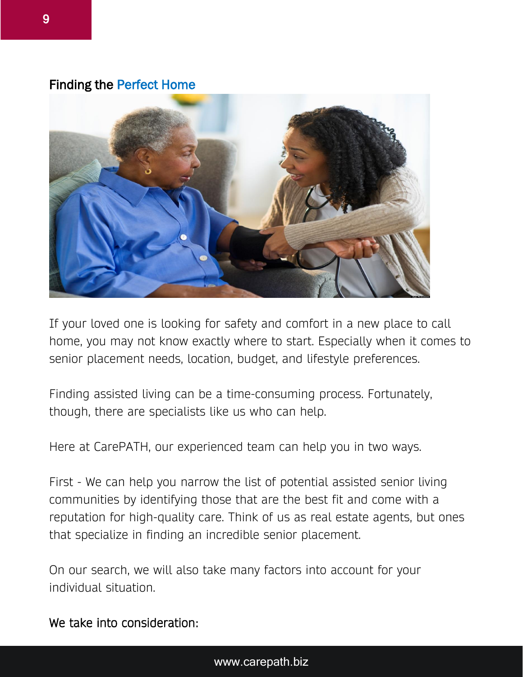## Finding the Perfect Home



If your loved one is looking for safety and comfort in a new place to call home, you may not know exactly where to start. Especially when it comes to senior placement needs, location, budget, and lifestyle preferences.

Finding assisted living can be a time-consuming process. Fortunately, though, there are specialists like us who can help.

Here at CarePATH, our experienced team can help you in two ways.

First - We can help you narrow the list of potential assisted senior living communities by identifying those that are the best fit and come with a reputation for high-quality care. Think of us as real estate agents, but ones that specialize in finding an incredible senior placement.

On our search, we will also take many factors into account for your individual situation.

We take into consideration: